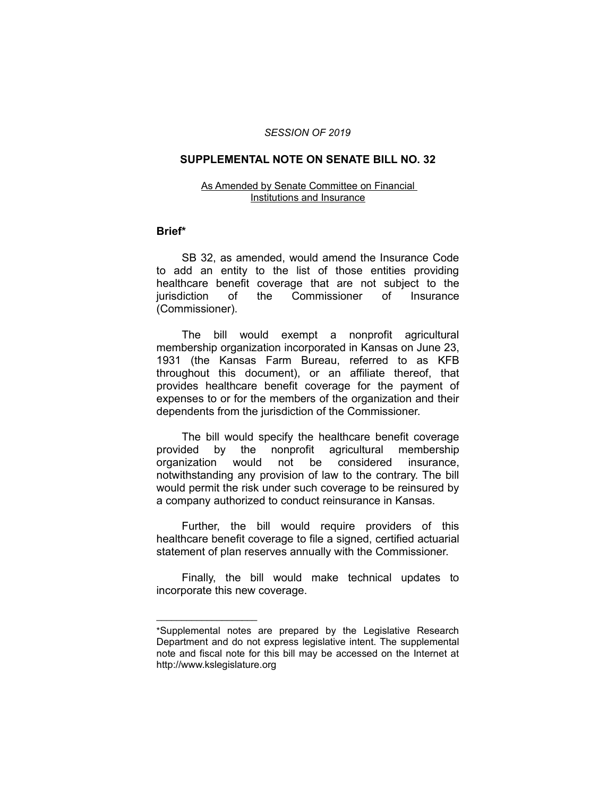### *SESSION OF 2019*

## **SUPPLEMENTAL NOTE ON SENATE BILL NO. 32**

#### As Amended by Senate Committee on Financial Institutions and Insurance

## **Brief\***

SB 32, as amended, would amend the Insurance Code to add an entity to the list of those entities providing healthcare benefit coverage that are not subject to the jurisdiction of the Commissioner of Insurance (Commissioner).

The bill would exempt a nonprofit agricultural membership organization incorporated in Kansas on June 23, 1931 (the Kansas Farm Bureau, referred to as KFB throughout this document), or an affiliate thereof, that provides healthcare benefit coverage for the payment of expenses to or for the members of the organization and their dependents from the jurisdiction of the Commissioner.

The bill would specify the healthcare benefit coverage provided by the nonprofit agricultural membership organization would not be considered insurance, notwithstanding any provision of law to the contrary. The bill would permit the risk under such coverage to be reinsured by a company authorized to conduct reinsurance in Kansas.

Further, the bill would require providers of this healthcare benefit coverage to file a signed, certified actuarial statement of plan reserves annually with the Commissioner.

Finally, the bill would make technical updates to incorporate this new coverage.

 $\overline{\phantom{a}}$  , where  $\overline{\phantom{a}}$  , where  $\overline{\phantom{a}}$ 

<sup>\*</sup>Supplemental notes are prepared by the Legislative Research Department and do not express legislative intent. The supplemental note and fiscal note for this bill may be accessed on the Internet at http://www.kslegislature.org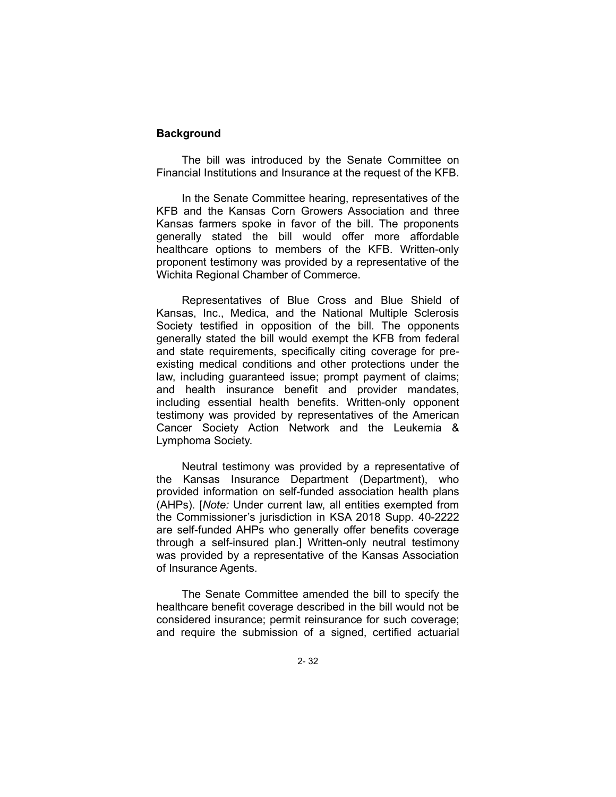# **Background**

The bill was introduced by the Senate Committee on Financial Institutions and Insurance at the request of the KFB.

In the Senate Committee hearing, representatives of the KFB and the Kansas Corn Growers Association and three Kansas farmers spoke in favor of the bill. The proponents generally stated the bill would offer more affordable healthcare options to members of the KFB. Written-only proponent testimony was provided by a representative of the Wichita Regional Chamber of Commerce.

Representatives of Blue Cross and Blue Shield of Kansas, Inc., Medica, and the National Multiple Sclerosis Society testified in opposition of the bill. The opponents generally stated the bill would exempt the KFB from federal and state requirements, specifically citing coverage for preexisting medical conditions and other protections under the law, including guaranteed issue; prompt payment of claims; and health insurance benefit and provider mandates, including essential health benefits. Written-only opponent testimony was provided by representatives of the American Cancer Society Action Network and the Leukemia & Lymphoma Society.

Neutral testimony was provided by a representative of the Kansas Insurance Department (Department), who provided information on self-funded association health plans (AHPs). [*Note:* Under current law, all entities exempted from the Commissioner's jurisdiction in KSA 2018 Supp. 40-2222 are self-funded AHPs who generally offer benefits coverage through a self-insured plan.] Written-only neutral testimony was provided by a representative of the Kansas Association of Insurance Agents.

The Senate Committee amended the bill to specify the healthcare benefit coverage described in the bill would not be considered insurance; permit reinsurance for such coverage; and require the submission of a signed, certified actuarial